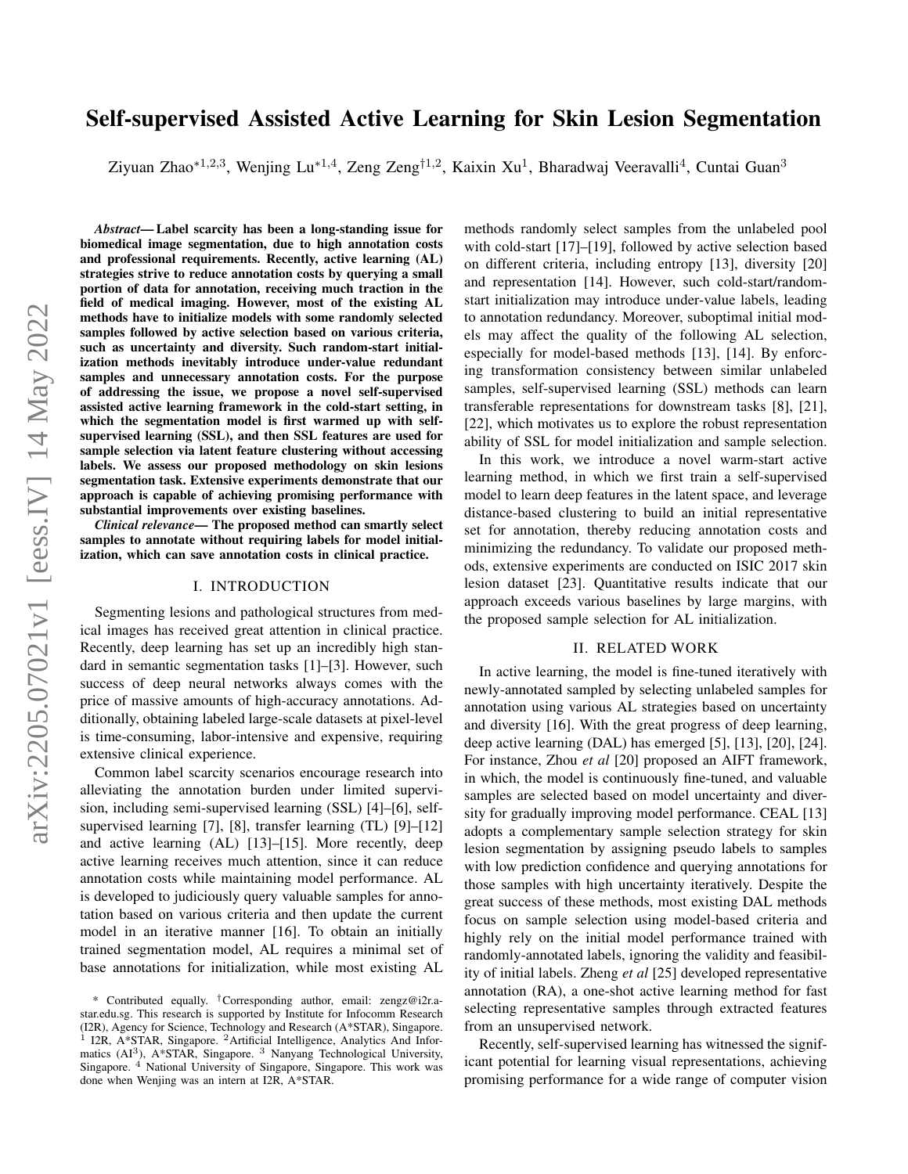# arXiv:2205.07021v1 [eess.IV] 14 May 2022 arXiv:2205.07021v1 [eess.IV] 14 May 2022

# Self-supervised Assisted Active Learning for Skin Lesion Segmentation

Ziyuan Zhao\*<sup>1,2,3</sup>, Wenjing Lu\*<sup>1,4</sup>, Zeng Zeng<sup>†1,2</sup>, Kaixin Xu<sup>1</sup>, Bharadwaj Veeravalli<sup>4</sup>, Cuntai Guan<sup>3</sup>

*Abstract*— Label scarcity has been a long-standing issue for biomedical image segmentation, due to high annotation costs and professional requirements. Recently, active learning (AL) strategies strive to reduce annotation costs by querying a small portion of data for annotation, receiving much traction in the field of medical imaging. However, most of the existing AL methods have to initialize models with some randomly selected samples followed by active selection based on various criteria, such as uncertainty and diversity. Such random-start initialization methods inevitably introduce under-value redundant samples and unnecessary annotation costs. For the purpose of addressing the issue, we propose a novel self-supervised assisted active learning framework in the cold-start setting, in which the segmentation model is first warmed up with selfsupervised learning (SSL), and then SSL features are used for sample selection via latent feature clustering without accessing labels. We assess our proposed methodology on skin lesions segmentation task. Extensive experiments demonstrate that our approach is capable of achieving promising performance with substantial improvements over existing baselines.

*Clinical relevance*— The proposed method can smartly select samples to annotate without requiring labels for model initialization, which can save annotation costs in clinical practice.

#### I. INTRODUCTION

Segmenting lesions and pathological structures from medical images has received great attention in clinical practice. Recently, deep learning has set up an incredibly high standard in semantic segmentation tasks [1]–[3]. However, such success of deep neural networks always comes with the price of massive amounts of high-accuracy annotations. Additionally, obtaining labeled large-scale datasets at pixel-level is time-consuming, labor-intensive and expensive, requiring extensive clinical experience.

Common label scarcity scenarios encourage research into alleviating the annotation burden under limited supervision, including semi-supervised learning (SSL) [4]–[6], selfsupervised learning [7], [8], transfer learning (TL) [9]–[12] and active learning (AL) [13]–[15]. More recently, deep active learning receives much attention, since it can reduce annotation costs while maintaining model performance. AL is developed to judiciously query valuable samples for annotation based on various criteria and then update the current model in an iterative manner [16]. To obtain an initially trained segmentation model, AL requires a minimal set of base annotations for initialization, while most existing AL methods randomly select samples from the unlabeled pool with cold-start [17]–[19], followed by active selection based on different criteria, including entropy [13], diversity [20] and representation [14]. However, such cold-start/randomstart initialization may introduce under-value labels, leading to annotation redundancy. Moreover, suboptimal initial models may affect the quality of the following AL selection, especially for model-based methods [13], [14]. By enforcing transformation consistency between similar unlabeled samples, self-supervised learning (SSL) methods can learn transferable representations for downstream tasks [8], [21], [22], which motivates us to explore the robust representation ability of SSL for model initialization and sample selection.

In this work, we introduce a novel warm-start active learning method, in which we first train a self-supervised model to learn deep features in the latent space, and leverage distance-based clustering to build an initial representative set for annotation, thereby reducing annotation costs and minimizing the redundancy. To validate our proposed methods, extensive experiments are conducted on ISIC 2017 skin lesion dataset [23]. Quantitative results indicate that our approach exceeds various baselines by large margins, with the proposed sample selection for AL initialization.

## II. RELATED WORK

In active learning, the model is fine-tuned iteratively with newly-annotated sampled by selecting unlabeled samples for annotation using various AL strategies based on uncertainty and diversity [16]. With the great progress of deep learning, deep active learning (DAL) has emerged [5], [13], [20], [24]. For instance, Zhou *et al* [20] proposed an AIFT framework, in which, the model is continuously fine-tuned, and valuable samples are selected based on model uncertainty and diversity for gradually improving model performance. CEAL [13] adopts a complementary sample selection strategy for skin lesion segmentation by assigning pseudo labels to samples with low prediction confidence and querying annotations for those samples with high uncertainty iteratively. Despite the great success of these methods, most existing DAL methods focus on sample selection using model-based criteria and highly rely on the initial model performance trained with randomly-annotated labels, ignoring the validity and feasibility of initial labels. Zheng *et al* [25] developed representative annotation (RA), a one-shot active learning method for fast selecting representative samples through extracted features from an unsupervised network.

Recently, self-supervised learning has witnessed the significant potential for learning visual representations, achieving promising performance for a wide range of computer vision

<sup>\*</sup> Contributed equally. †Corresponding author, email: zengz@i2r.astar.edu.sg. This research is supported by Institute for Infocomm Research (I2R), Agency for Science, Technology and Research  $(A^*STAR)$ , Singapore.<br>
<sup>1</sup> I2R  $A^*STAR$ , Singapore, <sup>2</sup> Artificial Intelligence, Analytics, And Infor-I2R, A\*STAR, Singapore. <sup>2</sup>Artificial Intelligence, Analytics And Informatics (AI<sup>3</sup>), A\*STAR, Singapore. <sup>3</sup> Nanyang Technological University, Singapore. <sup>4</sup> National University of Singapore, Singapore. This work was done when Wenjing was an intern at I2R, A\*STAR.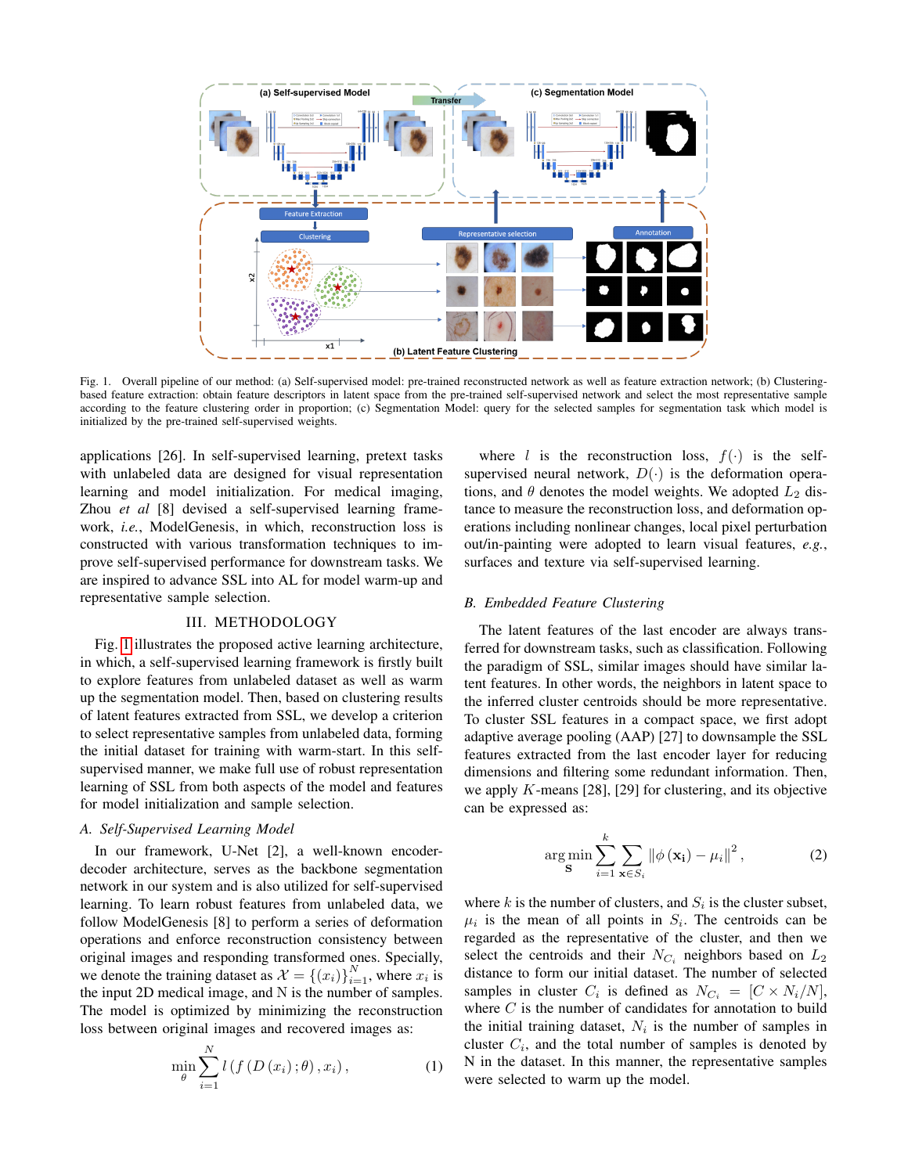

<span id="page-1-0"></span>Fig. 1. Overall pipeline of our method: (a) Self-supervised model: pre-trained reconstructed network as well as feature extraction network; (b) Clusteringbased feature extraction: obtain feature descriptors in latent space from the pre-trained self-supervised network and select the most representative sample according to the feature clustering order in proportion; (c) Segmentation Model: query for the selected samples for segmentation task which model is initialized by the pre-trained self-supervised weights.

applications [26]. In self-supervised learning, pretext tasks with unlabeled data are designed for visual representation learning and model initialization. For medical imaging, Zhou *et al* [8] devised a self-supervised learning framework, *i.e.*, ModelGenesis, in which, reconstruction loss is constructed with various transformation techniques to improve self-supervised performance for downstream tasks. We are inspired to advance SSL into AL for model warm-up and representative sample selection.

### III. METHODOLOGY

Fig. [1](#page-1-0) illustrates the proposed active learning architecture, in which, a self-supervised learning framework is firstly built to explore features from unlabeled dataset as well as warm up the segmentation model. Then, based on clustering results of latent features extracted from SSL, we develop a criterion to select representative samples from unlabeled data, forming the initial dataset for training with warm-start. In this selfsupervised manner, we make full use of robust representation learning of SSL from both aspects of the model and features for model initialization and sample selection.

# *A. Self-Supervised Learning Model*

In our framework, U-Net [2], a well-known encoderdecoder architecture, serves as the backbone segmentation network in our system and is also utilized for self-supervised learning. To learn robust features from unlabeled data, we follow ModelGenesis [8] to perform a series of deformation operations and enforce reconstruction consistency between original images and responding transformed ones. Specially, we denote the training dataset as  $\mathcal{X} = \{(x_i)\}_{i=1}^N$ , where  $x_i$  is the input 2D medical image, and N is the number of samples. The model is optimized by minimizing the reconstruction loss between original images and recovered images as:

$$
\min_{\theta} \sum_{i=1}^{N} l\left(f\left(D\left(x_{i}\right);\theta\right),x_{i}\right),\tag{1}
$$

where l is the reconstruction loss,  $f(\cdot)$  is the selfsupervised neural network,  $D(\cdot)$  is the deformation operations, and  $\theta$  denotes the model weights. We adopted  $L_2$  distance to measure the reconstruction loss, and deformation operations including nonlinear changes, local pixel perturbation out/in-painting were adopted to learn visual features, *e.g.*, surfaces and texture via self-supervised learning.

#### *B. Embedded Feature Clustering*

The latent features of the last encoder are always transferred for downstream tasks, such as classification. Following the paradigm of SSL, similar images should have similar latent features. In other words, the neighbors in latent space to the inferred cluster centroids should be more representative. To cluster SSL features in a compact space, we first adopt adaptive average pooling (AAP) [27] to downsample the SSL features extracted from the last encoder layer for reducing dimensions and filtering some redundant information. Then, we apply  $K$ -means [28], [29] for clustering, and its objective can be expressed as:

$$
\arg\min_{\mathbf{S}} \sum_{i=1}^{k} \sum_{\mathbf{x} \in S_i} \left\| \phi\left(\mathbf{x_i}\right) - \mu_i \right\|^2, \tag{2}
$$

where k is the number of clusters, and  $S_i$  is the cluster subset,  $\mu_i$  is the mean of all points in  $S_i$ . The centroids can be regarded as the representative of the cluster, and then we select the centroids and their  $N_{C_i}$  neighbors based on  $L_2$ distance to form our initial dataset. The number of selected samples in cluster  $C_i$  is defined as  $N_{C_i} = [C \times N_i/N],$ where  $C$  is the number of candidates for annotation to build the initial training dataset,  $N_i$  is the number of samples in cluster  $C_i$ , and the total number of samples is denoted by N in the dataset. In this manner, the representative samples were selected to warm up the model.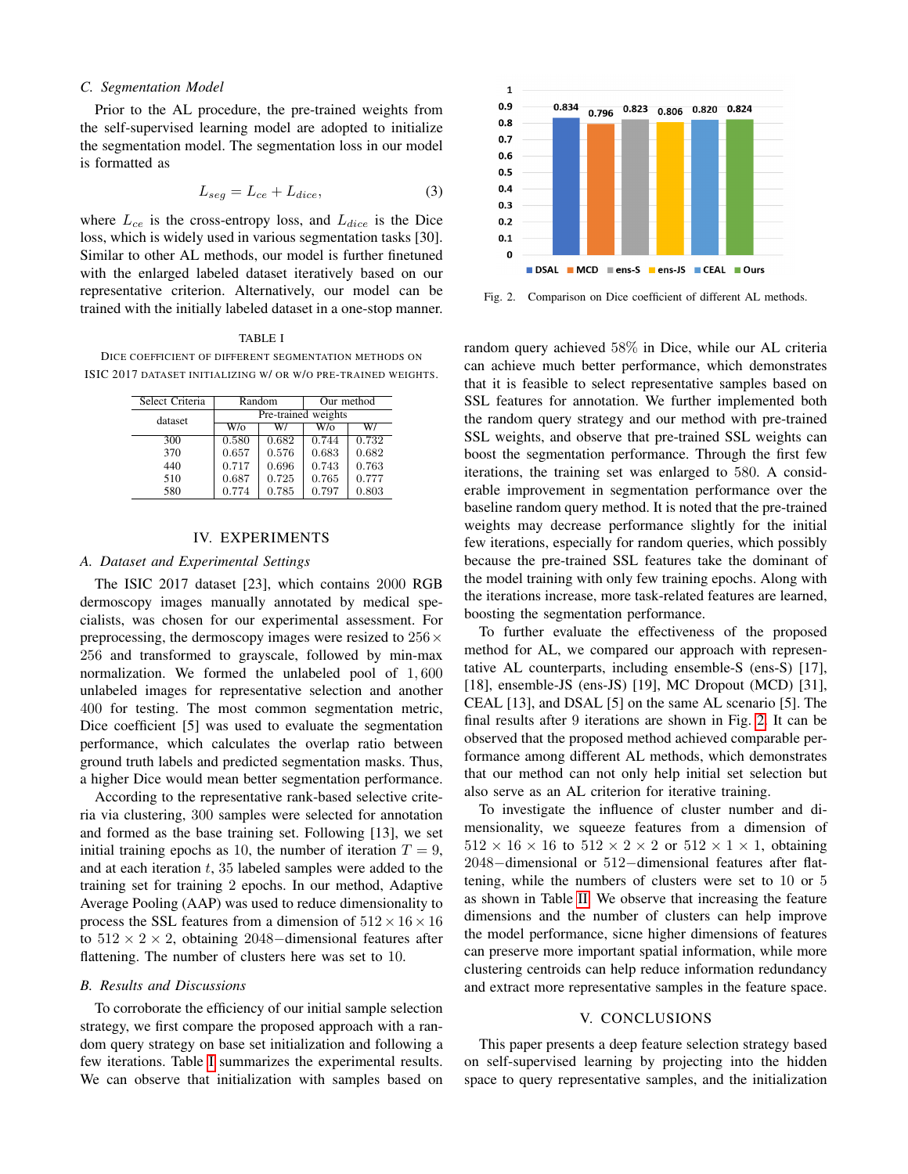# *C. Segmentation Model*

Prior to the AL procedure, the pre-trained weights from the self-supervised learning model are adopted to initialize the segmentation model. The segmentation loss in our model is formatted as

$$
L_{seg} = L_{ce} + L_{dice},\tag{3}
$$

where  $L_{ce}$  is the cross-entropy loss, and  $L_{dice}$  is the Dice loss, which is widely used in various segmentation tasks [30]. Similar to other AL methods, our model is further finetuned with the enlarged labeled dataset iteratively based on our representative criterion. Alternatively, our model can be trained with the initially labeled dataset in a one-stop manner.

#### TABLE I

<span id="page-2-0"></span>DICE COEFFICIENT OF DIFFERENT SEGMENTATION METHODS ON ISIC 2017 DATASET INITIALIZING W/ OR W/O PRE-TRAINED WEIGHTS.

| Select Criteria | Random              |       | Our method |       |  |
|-----------------|---------------------|-------|------------|-------|--|
| dataset         | Pre-trained weights |       |            |       |  |
|                 | W/o                 | W/    | W/o        | W/    |  |
| 300             | 0.580               | 0.682 | 0.744      | 0.732 |  |
| 370             | 0.657               | 0.576 | 0.683      | 0.682 |  |
| 440             | 0.717               | 0.696 | 0.743      | 0.763 |  |
| 510             | 0.687               | 0.725 | 0.765      | 0.777 |  |
| 580             | 0.774               | 0.785 | 0.797      | 0.803 |  |

# IV. EXPERIMENTS

# *A. Dataset and Experimental Settings*

The ISIC 2017 dataset [23], which contains 2000 RGB dermoscopy images manually annotated by medical specialists, was chosen for our experimental assessment. For preprocessing, the dermoscopy images were resized to  $256 \times$ 256 and transformed to grayscale, followed by min-max normalization. We formed the unlabeled pool of 1, 600 unlabeled images for representative selection and another 400 for testing. The most common segmentation metric, Dice coefficient [5] was used to evaluate the segmentation performance, which calculates the overlap ratio between ground truth labels and predicted segmentation masks. Thus, a higher Dice would mean better segmentation performance.

According to the representative rank-based selective criteria via clustering, 300 samples were selected for annotation and formed as the base training set. Following [13], we set initial training epochs as 10, the number of iteration  $T = 9$ , and at each iteration  $t$ , 35 labeled samples were added to the training set for training 2 epochs. In our method, Adaptive Average Pooling (AAP) was used to reduce dimensionality to process the SSL features from a dimension of  $512 \times 16 \times 16$ to  $512 \times 2 \times 2$ , obtaining 2048–dimensional features after flattening. The number of clusters here was set to 10.

### *B. Results and Discussions*

To corroborate the efficiency of our initial sample selection strategy, we first compare the proposed approach with a random query strategy on base set initialization and following a few iterations. Table [I](#page-2-0) summarizes the experimental results. We can observe that initialization with samples based on



<span id="page-2-1"></span>Fig. 2. Comparison on Dice coefficient of different AL methods.

random query achieved 58% in Dice, while our AL criteria can achieve much better performance, which demonstrates that it is feasible to select representative samples based on SSL features for annotation. We further implemented both the random query strategy and our method with pre-trained SSL weights, and observe that pre-trained SSL weights can boost the segmentation performance. Through the first few iterations, the training set was enlarged to 580. A considerable improvement in segmentation performance over the baseline random query method. It is noted that the pre-trained weights may decrease performance slightly for the initial few iterations, especially for random queries, which possibly because the pre-trained SSL features take the dominant of the model training with only few training epochs. Along with the iterations increase, more task-related features are learned, boosting the segmentation performance.

To further evaluate the effectiveness of the proposed method for AL, we compared our approach with representative AL counterparts, including ensemble-S (ens-S) [17], [18], ensemble-JS (ens-JS) [19], MC Dropout (MCD) [31], CEAL [13], and DSAL [5] on the same AL scenario [5]. The final results after 9 iterations are shown in Fig. [2.](#page-2-1) It can be observed that the proposed method achieved comparable performance among different AL methods, which demonstrates that our method can not only help initial set selection but also serve as an AL criterion for iterative training.

To investigate the influence of cluster number and dimensionality, we squeeze features from a dimension of  $512 \times 16 \times 16$  to  $512 \times 2 \times 2$  or  $512 \times 1 \times 1$ , obtaining 2048−dimensional or 512−dimensional features after flattening, while the numbers of clusters were set to 10 or 5 as shown in Table [II.](#page-3-0) We observe that increasing the feature dimensions and the number of clusters can help improve the model performance, sicne higher dimensions of features can preserve more important spatial information, while more clustering centroids can help reduce information redundancy and extract more representative samples in the feature space.

# V. CONCLUSIONS

This paper presents a deep feature selection strategy based on self-supervised learning by projecting into the hidden space to query representative samples, and the initialization